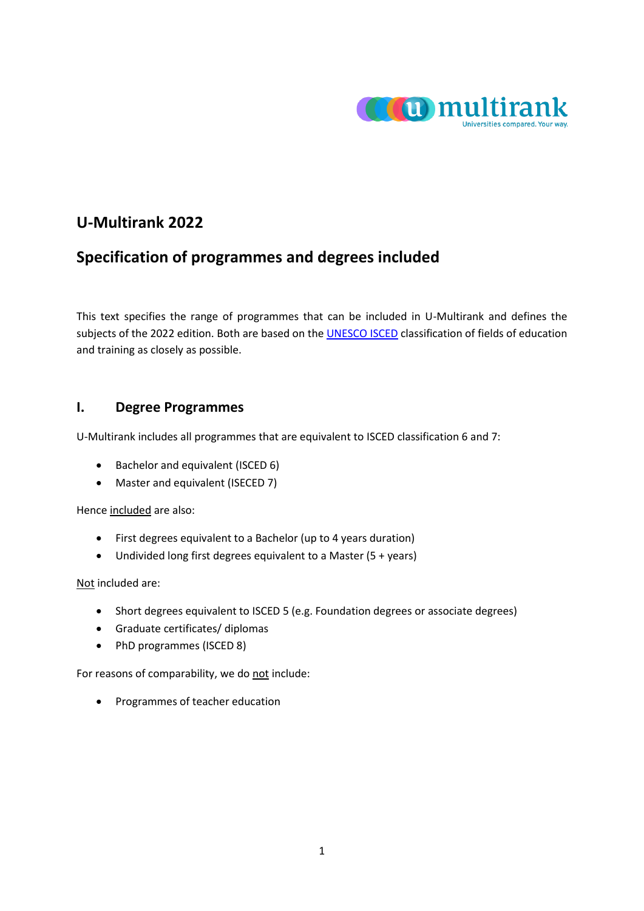

# **U-Multirank 2022**

# **Specification of programmes and degrees included**

This text specifies the range of programmes that can be included in U-Multirank and defines the subjects of the 2022 edition. Both are based on the **UNESCO ISCED** classification of fields of education and training as closely as possible.

# **I. Degree Programmes**

U-Multirank includes all programmes that are equivalent to ISCED classification 6 and 7:

- Bachelor and equivalent (ISCED 6)
- Master and equivalent (ISECED 7)

Hence included are also:

- First degrees equivalent to a Bachelor (up to 4 years duration)
- Undivided long first degrees equivalent to a Master (5 + years)

Not included are:

- Short degrees equivalent to ISCED 5 (e.g. Foundation degrees or associate degrees)
- Graduate certificates/ diplomas
- PhD programmes (ISCED 8)

For reasons of comparability, we do not include:

• Programmes of teacher education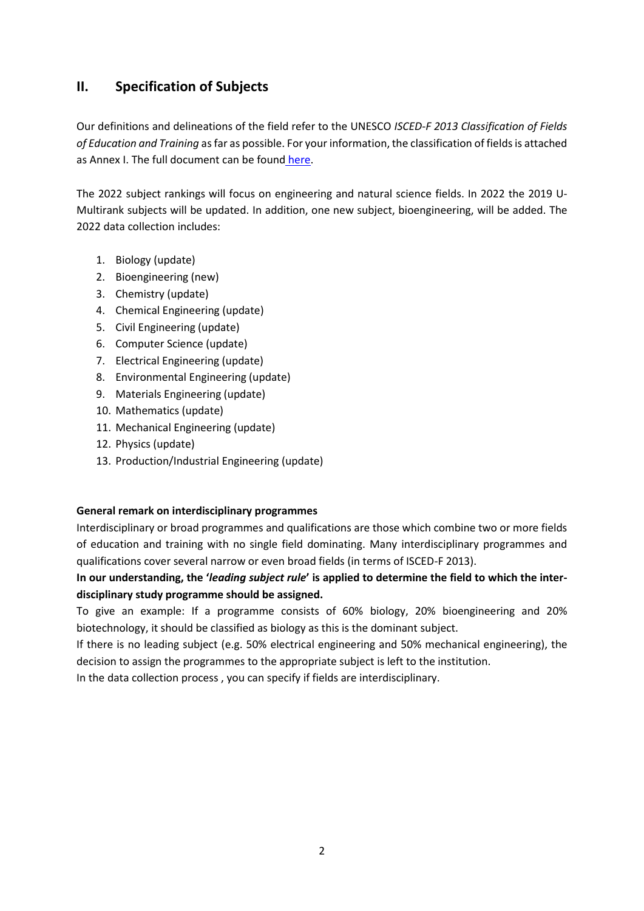# **II. Specification of Subjects**

Our definitions and delineations of the field refer to the UNESCO *ISCED-F 2013 Classification of Fields of Education and Training* as far as possible. For your information, the classification of fields is attached as Annex I. The full document can be found [here.](http://uis.unesco.org/sites/default/files/documents/international-standard-classification-of-education-fields-of-education-and-training-2013-detailed-field-descriptions-2015-en.pdf)

The 2022 subject rankings will focus on engineering and natural science fields. In 2022 the 2019 U-Multirank subjects will be updated. In addition, one new subject, bioengineering, will be added. The 2022 data collection includes:

- 1. Biology (update)
- 2. Bioengineering (new)
- 3. Chemistry (update)
- 4. Chemical Engineering (update)
- 5. Civil Engineering (update)
- 6. Computer Science (update)
- 7. Electrical Engineering (update)
- 8. Environmental Engineering (update)
- 9. Materials Engineering (update)
- 10. Mathematics (update)
- 11. Mechanical Engineering (update)
- 12. Physics (update)
- 13. Production/Industrial Engineering (update)

## **General remark on interdisciplinary programmes**

Interdisciplinary or broad programmes and qualifications are those which combine two or more fields of education and training with no single field dominating. Many interdisciplinary programmes and qualifications cover several narrow or even broad fields (in terms of ISCED-F 2013).

**In our understanding, the '***leading subject rule***' is applied to determine the field to which the interdisciplinary study programme should be assigned.**

To give an example: If a programme consists of 60% biology, 20% bioengineering and 20% biotechnology, it should be classified as biology as this is the dominant subject.

If there is no leading subject (e.g. 50% electrical engineering and 50% mechanical engineering), the decision to assign the programmes to the appropriate subject is left to the institution.

In the data collection process , you can specify if fields are interdisciplinary.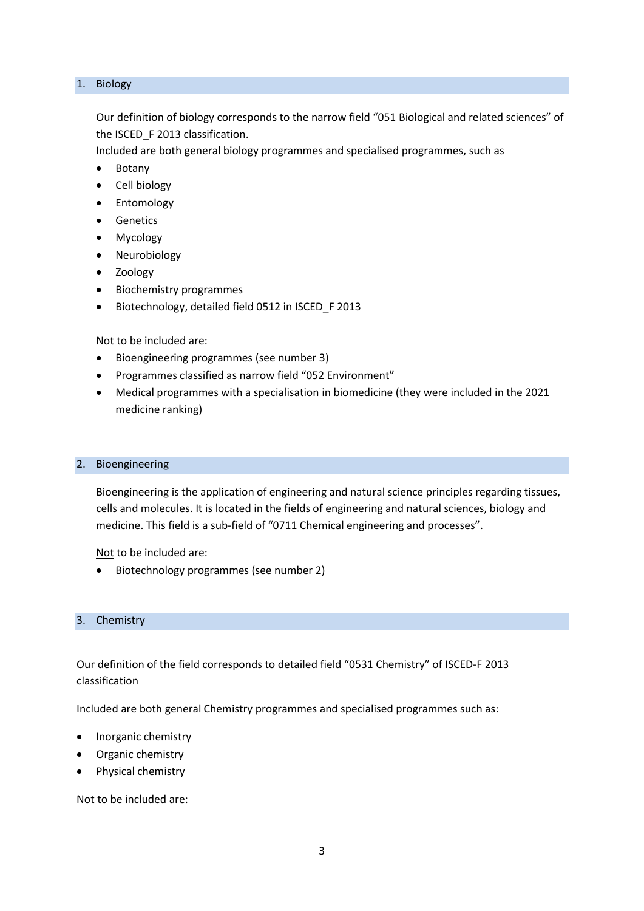#### 1. Biology

Our definition of biology corresponds to the narrow field "051 Biological and related sciences" of the ISCED\_F 2013 classification.

Included are both general biology programmes and specialised programmes, such as

- Botany
- Cell biology
- Entomology
- **Genetics**
- Mycology
- Neurobiology
- Zoology
- Biochemistry programmes
- Biotechnology, detailed field 0512 in ISCED\_F 2013

Not to be included are:

- Bioengineering programmes (see number 3)
- Programmes classified as narrow field "052 Environment"
- Medical programmes with a specialisation in biomedicine (they were included in the 2021 medicine ranking)

#### 2. Bioengineering

Bioengineering is the application of engineering and natural science principles regarding tissues, cells and molecules. It is located in the fields of engineering and natural sciences, biology and medicine. This field is a sub-field of "0711 Chemical engineering and processes".

Not to be included are:

• Biotechnology programmes (see number 2)

#### 3. Chemistry

Our definition of the field corresponds to detailed field "0531 Chemistry" of ISCED-F 2013 classification

Included are both general Chemistry programmes and specialised programmes such as:

- Inorganic chemistry
- Organic chemistry
- Physical chemistry

Not to be included are: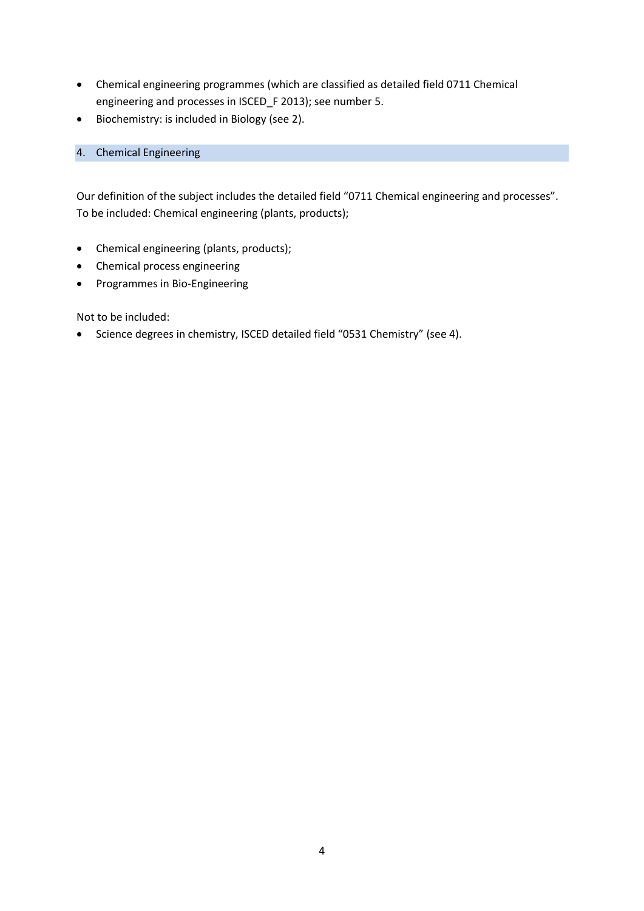- Chemical engineering programmes (which are classified as detailed field 0711 Chemical engineering and processes in ISCED\_F 2013); see number 5.
- Biochemistry: is included in Biology (see 2).

## 4. Chemical Engineering

Our definition of the subject includes the detailed field "0711 Chemical engineering and processes". To be included: Chemical engineering (plants, products);

- Chemical engineering (plants, products);
- Chemical process engineering
- Programmes in Bio-Engineering

Not to be included:

• Science degrees in chemistry, ISCED detailed field "0531 Chemistry" (see 4).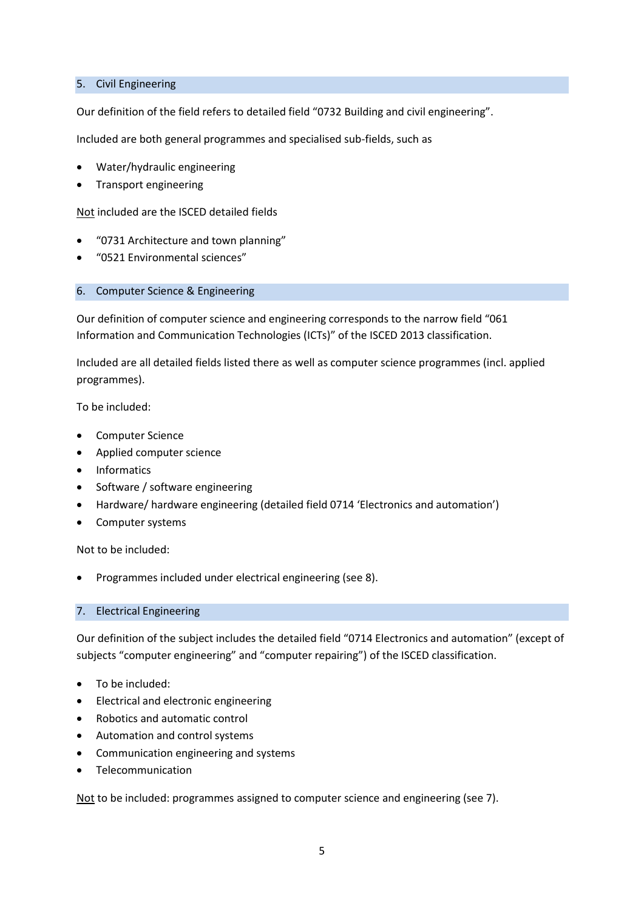### 5. Civil Engineering

Our definition of the field refers to detailed field "0732 Building and civil engineering".

Included are both general programmes and specialised sub-fields, such as

- Water/hydraulic engineering
- Transport engineering

Not included are the ISCED detailed fields

- "0731 Architecture and town planning"
- "0521 Environmental sciences"

#### 6. Computer Science & Engineering

Our definition of computer science and engineering corresponds to the narrow field "061 Information and Communication Technologies (ICTs)" of the ISCED 2013 classification.

Included are all detailed fields listed there as well as computer science programmes (incl. applied programmes).

To be included:

- Computer Science
- Applied computer science
- Informatics
- Software / software engineering
- Hardware/ hardware engineering (detailed field 0714 'Electronics and automation')
- Computer systems

Not to be included:

• Programmes included under electrical engineering (see 8).

#### 7. Electrical Engineering

Our definition of the subject includes the detailed field "0714 Electronics and automation" (except of subjects "computer engineering" and "computer repairing") of the ISCED classification.

- To be included:
- Electrical and electronic engineering
- Robotics and automatic control
- Automation and control systems
- Communication engineering and systems
- **Telecommunication**

Not to be included: programmes assigned to computer science and engineering (see 7).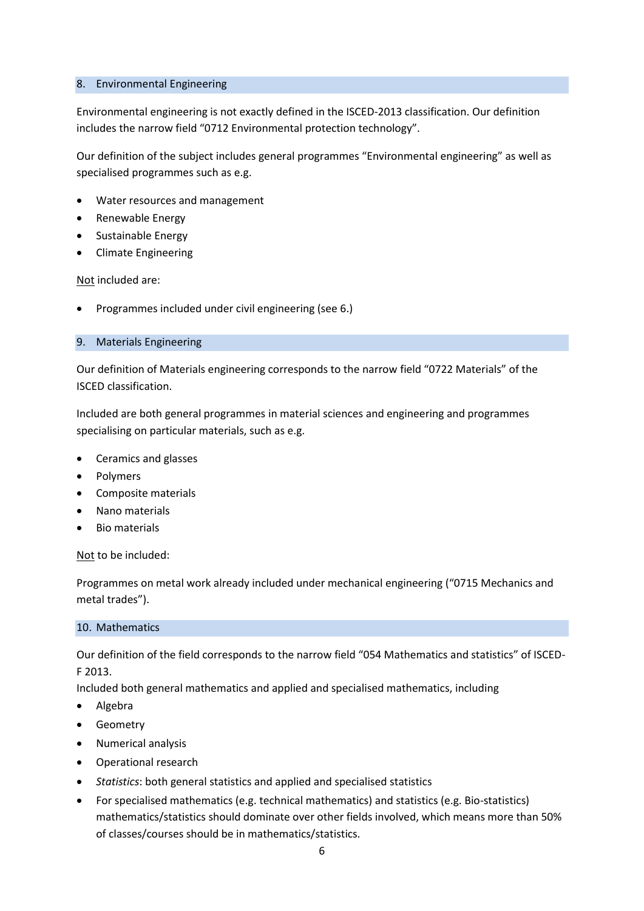#### 8. Environmental Engineering

Environmental engineering is not exactly defined in the ISCED-2013 classification. Our definition includes the narrow field "0712 Environmental protection technology".

Our definition of the subject includes general programmes "Environmental engineering" as well as specialised programmes such as e.g.

- Water resources and management
- Renewable Energy
- Sustainable Energy
- Climate Engineering

Not included are:

• Programmes included under civil engineering (see 6.)

#### 9. Materials Engineering

Our definition of Materials engineering corresponds to the narrow field "0722 Materials" of the ISCED classification.

Included are both general programmes in material sciences and engineering and programmes specialising on particular materials, such as e.g.

- Ceramics and glasses
- Polymers
- Composite materials
- Nano materials
- Bio materials

Not to be included:

Programmes on metal work already included under mechanical engineering ("0715 Mechanics and metal trades").

#### 10. Mathematics

Our definition of the field corresponds to the narrow field "054 Mathematics and statistics" of ISCED-F 2013.

Included both general mathematics and applied and specialised mathematics, including

- Algebra
- Geometry
- Numerical analysis
- Operational research
- *Statistics*: both general statistics and applied and specialised statistics
- For specialised mathematics (e.g. technical mathematics) and statistics (e.g. Bio-statistics) mathematics/statistics should dominate over other fields involved, which means more than 50% of classes/courses should be in mathematics/statistics.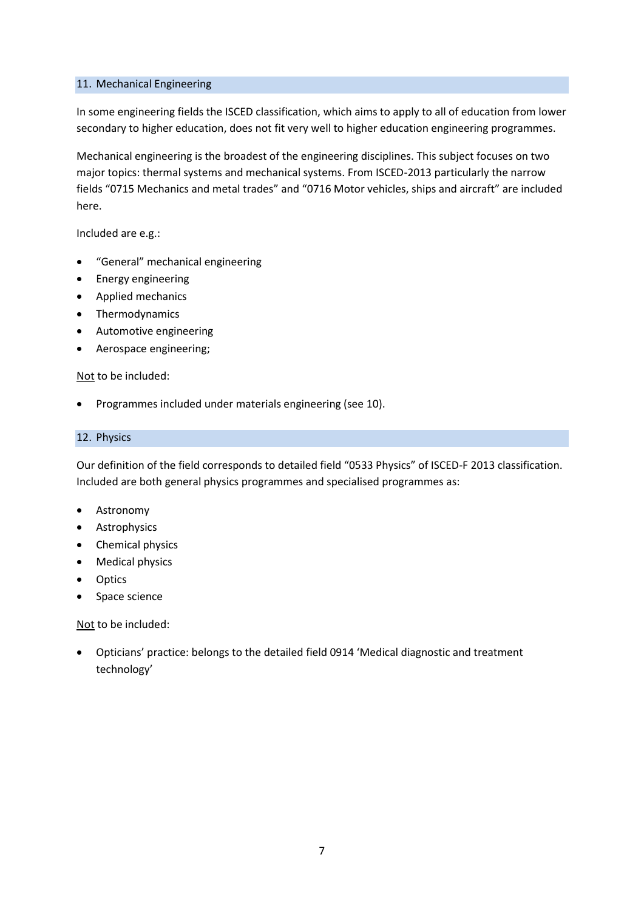#### 11. Mechanical Engineering

In some engineering fields the ISCED classification, which aims to apply to all of education from lower secondary to higher education, does not fit very well to higher education engineering programmes.

Mechanical engineering is the broadest of the engineering disciplines. This subject focuses on two major topics: thermal systems and mechanical systems. From ISCED-2013 particularly the narrow fields "0715 Mechanics and metal trades" and "0716 Motor vehicles, ships and aircraft" are included here.

Included are e.g.:

- "General" mechanical engineering
- Energy engineering
- Applied mechanics
- Thermodynamics
- Automotive engineering
- Aerospace engineering;

#### Not to be included:

• Programmes included under materials engineering (see 10).

#### 12. Physics

Our definition of the field corresponds to detailed field "0533 Physics" of ISCED-F 2013 classification. Included are both general physics programmes and specialised programmes as:

- **Astronomy**
- Astrophysics
- Chemical physics
- Medical physics
- **Optics**
- Space science

Not to be included:

• Opticians' practice: belongs to the detailed field 0914 'Medical diagnostic and treatment technology'